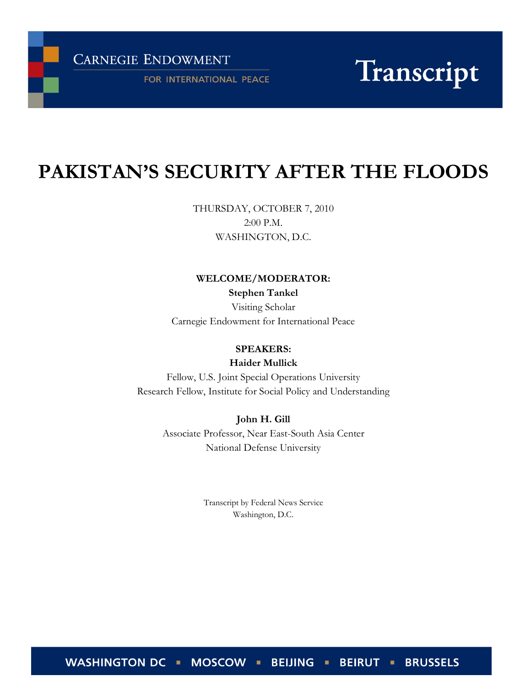**CARNEGIE ENDOWMENT** 

FOR INTERNATIONAL PEACE

# Transcript

# PAKISTAN'S SECURITY AFTER THE FLOODS

THURSDAY, OCTOBER 7, 2010 2:00 P.M. WASHINGTON, D.C.

# WELCOME/MODERATOR:

Stephen Tankel Visiting Scholar Carnegie Endowment for International Peace

# SPEAKERS:

Haider Mullick

Fellow, U.S. Joint Special Operations University Research Fellow, Institute for Social Policy and Understanding

> John H. Gill Associate Professor, Near East-South Asia Center National Defense University

> > Transcript by Federal News Service Washington, D.C.

WASHINGTON DC • MOSCOW **BEIRUT - BRUSSELS BEIJING**  $\blacksquare$  $\mathbf{R}^{\prime}$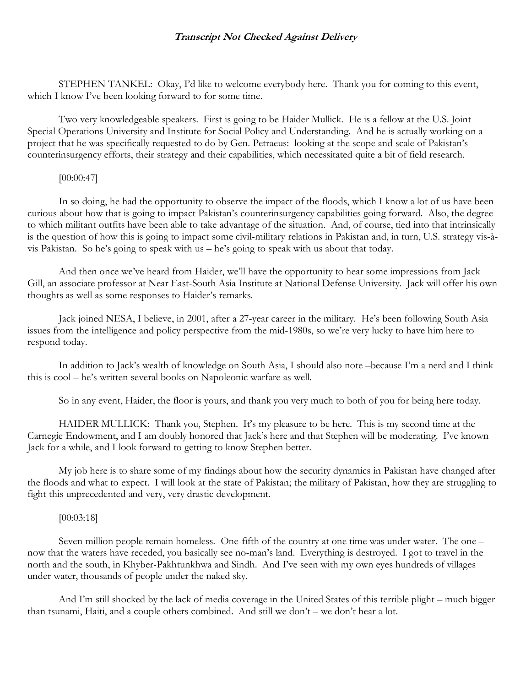STEPHEN TANKEL: Okay, I'd like to welcome everybody here. Thank you for coming to this event, which I know I've been looking forward to for some time.

Two very knowledgeable speakers. First is going to be Haider Mullick. He is a fellow at the U.S. Joint Special Operations University and Institute for Social Policy and Understanding. And he is actually working on a project that he was specifically requested to do by Gen. Petraeus: looking at the scope and scale of Pakistan's counterinsurgency efforts, their strategy and their capabilities, which necessitated quite a bit of field research.

# [00:00:47]

In so doing, he had the opportunity to observe the impact of the floods, which I know a lot of us have been curious about how that is going to impact Pakistan's counterinsurgency capabilities going forward. Also, the degree to which militant outfits have been able to take advantage of the situation. And, of course, tied into that intrinsically is the question of how this is going to impact some civil-military relations in Pakistan and, in turn, U.S. strategy vis-àvis Pakistan. So he's going to speak with us – he's going to speak with us about that today.

And then once we've heard from Haider, we'll have the opportunity to hear some impressions from Jack Gill, an associate professor at Near East-South Asia Institute at National Defense University. Jack will offer his own thoughts as well as some responses to Haider's remarks.

Jack joined NESA, I believe, in 2001, after a 27-year career in the military. He's been following South Asia issues from the intelligence and policy perspective from the mid-1980s, so we're very lucky to have him here to respond today.

In addition to Jack's wealth of knowledge on South Asia, I should also note –because I'm a nerd and I think this is cool – he's written several books on Napoleonic warfare as well.

So in any event, Haider, the floor is yours, and thank you very much to both of you for being here today.

HAIDER MULLICK: Thank you, Stephen. It's my pleasure to be here. This is my second time at the Carnegie Endowment, and I am doubly honored that Jack's here and that Stephen will be moderating. I've known Jack for a while, and I look forward to getting to know Stephen better.

My job here is to share some of my findings about how the security dynamics in Pakistan have changed after the floods and what to expect. I will look at the state of Pakistan; the military of Pakistan, how they are struggling to fight this unprecedented and very, very drastic development.

#### [00:03:18]

Seven million people remain homeless. One-fifth of the country at one time was under water. The one – now that the waters have receded, you basically see no-man's land. Everything is destroyed. I got to travel in the north and the south, in Khyber-Pakhtunkhwa and Sindh. And I've seen with my own eyes hundreds of villages under water, thousands of people under the naked sky.

And I'm still shocked by the lack of media coverage in the United States of this terrible plight – much bigger than tsunami, Haiti, and a couple others combined. And still we don't – we don't hear a lot.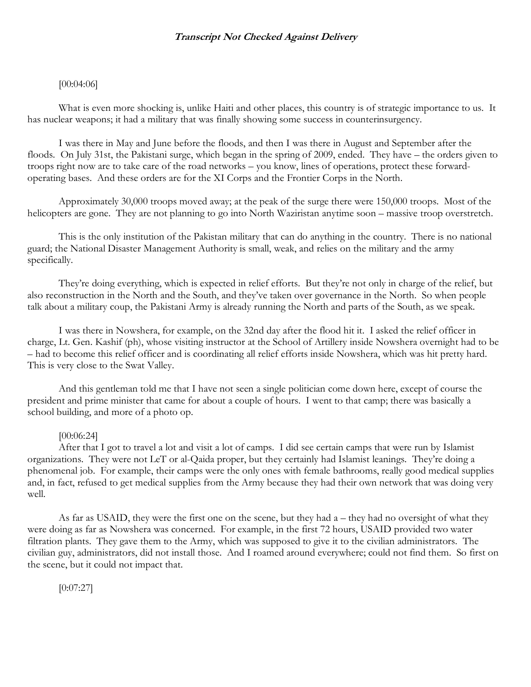# [00:04:06]

What is even more shocking is, unlike Haiti and other places, this country is of strategic importance to us. It has nuclear weapons; it had a military that was finally showing some success in counterinsurgency.

I was there in May and June before the floods, and then I was there in August and September after the floods. On July 31st, the Pakistani surge, which began in the spring of 2009, ended. They have – the orders given to troops right now are to take care of the road networks – you know, lines of operations, protect these forwardoperating bases. And these orders are for the XI Corps and the Frontier Corps in the North.

Approximately 30,000 troops moved away; at the peak of the surge there were 150,000 troops. Most of the helicopters are gone. They are not planning to go into North Waziristan anytime soon – massive troop overstretch.

This is the only institution of the Pakistan military that can do anything in the country. There is no national guard; the National Disaster Management Authority is small, weak, and relies on the military and the army specifically.

They're doing everything, which is expected in relief efforts. But they're not only in charge of the relief, but also reconstruction in the North and the South, and they've taken over governance in the North. So when people talk about a military coup, the Pakistani Army is already running the North and parts of the South, as we speak.

I was there in Nowshera, for example, on the 32nd day after the flood hit it. I asked the relief officer in charge, Lt. Gen. Kashif (ph), whose visiting instructor at the School of Artillery inside Nowshera overnight had to be – had to become this relief officer and is coordinating all relief efforts inside Nowshera, which was hit pretty hard. This is very close to the Swat Valley.

And this gentleman told me that I have not seen a single politician come down here, except of course the president and prime minister that came for about a couple of hours. I went to that camp; there was basically a school building, and more of a photo op.

#### [00:06:24]

After that I got to travel a lot and visit a lot of camps. I did see certain camps that were run by Islamist organizations. They were not LeT or al-Qaida proper, but they certainly had Islamist leanings. They're doing a phenomenal job. For example, their camps were the only ones with female bathrooms, really good medical supplies and, in fact, refused to get medical supplies from the Army because they had their own network that was doing very well.

As far as USAID, they were the first one on the scene, but they had a – they had no oversight of what they were doing as far as Nowshera was concerned. For example, in the first 72 hours, USAID provided two water filtration plants. They gave them to the Army, which was supposed to give it to the civilian administrators. The civilian guy, administrators, did not install those. And I roamed around everywhere; could not find them. So first on the scene, but it could not impact that.

[0:07:27]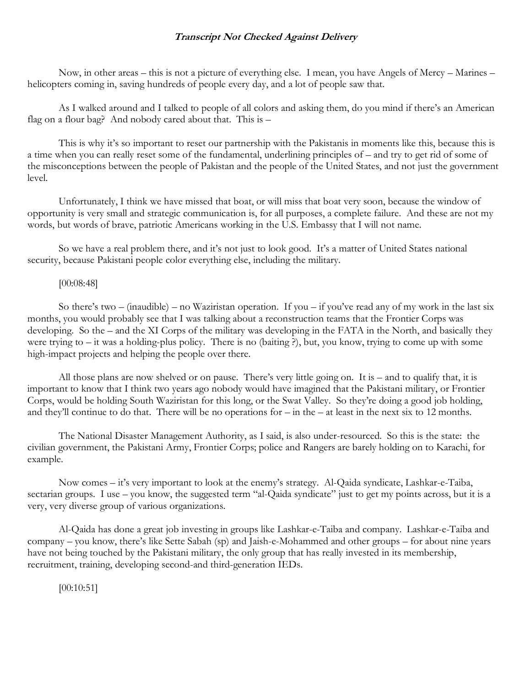Now, in other areas – this is not a picture of everything else. I mean, you have Angels of Mercy – Marines – helicopters coming in, saving hundreds of people every day, and a lot of people saw that.

As I walked around and I talked to people of all colors and asking them, do you mind if there's an American flag on a flour bag? And nobody cared about that. This is –

This is why it's so important to reset our partnership with the Pakistanis in moments like this, because this is a time when you can really reset some of the fundamental, underlining principles of – and try to get rid of some of the misconceptions between the people of Pakistan and the people of the United States, and not just the government level.

Unfortunately, I think we have missed that boat, or will miss that boat very soon, because the window of opportunity is very small and strategic communication is, for all purposes, a complete failure. And these are not my words, but words of brave, patriotic Americans working in the U.S. Embassy that I will not name.

So we have a real problem there, and it's not just to look good. It's a matter of United States national security, because Pakistani people color everything else, including the military.

#### [00:08:48]

So there's two – (inaudible) – no Waziristan operation. If you – if you've read any of my work in the last six months, you would probably see that I was talking about a reconstruction teams that the Frontier Corps was developing. So the – and the XI Corps of the military was developing in the FATA in the North, and basically they were trying to – it was a holding-plus policy. There is no (baiting ?), but, you know, trying to come up with some high-impact projects and helping the people over there.

All those plans are now shelved or on pause. There's very little going on. It is – and to qualify that, it is important to know that I think two years ago nobody would have imagined that the Pakistani military, or Frontier Corps, would be holding South Waziristan for this long, or the Swat Valley. So they're doing a good job holding, and they'll continue to do that. There will be no operations for  $-\text{in the }-$  at least in the next six to 12 months.

The National Disaster Management Authority, as I said, is also under-resourced. So this is the state: the civilian government, the Pakistani Army, Frontier Corps; police and Rangers are barely holding on to Karachi, for example.

Now comes – it's very important to look at the enemy's strategy. Al-Qaida syndicate, Lashkar-e-Taiba, sectarian groups. I use – you know, the suggested term "al-Qaida syndicate" just to get my points across, but it is a very, very diverse group of various organizations.

Al-Qaida has done a great job investing in groups like Lashkar-e-Taiba and company. Lashkar-e-Taiba and company – you know, there's like Sette Sabah (sp) and Jaish-e-Mohammed and other groups – for about nine years have not being touched by the Pakistani military, the only group that has really invested in its membership, recruitment, training, developing second-and third-generation IEDs.

[00:10:51]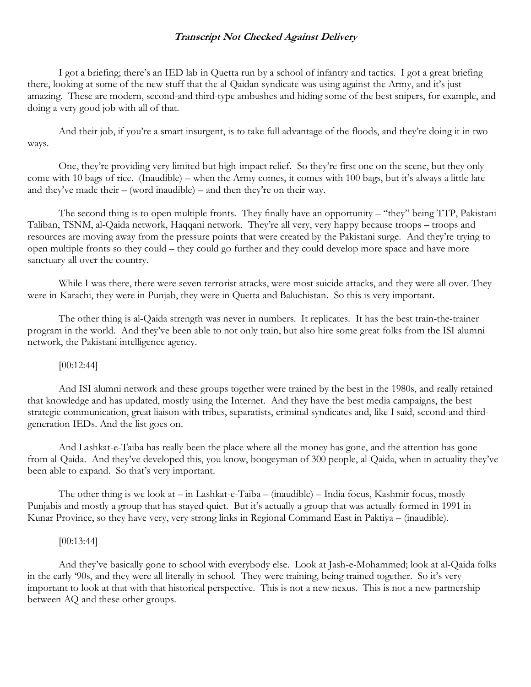I got a briefing; there's an IED lab in Quetta run by a school of infantry and tactics. I got a great briefing there, looking at some of the new stuff that the al-Qaidan syndicate was using against the Army, and it's just amazing. These are modern, second-and third-type ambushes and hiding some of the best snipers, for example, and doing a very good job with all of that.

And their job, if you're a smart insurgent, is to take full advantage of the floods, and they're doing it in two ways.

One, they're providing very limited but high-impact relief. So they're first one on the scene, but they only come with 10 bags of rice. (Inaudible) – when the Army comes, it comes with 100 bags, but it's always a little late and they've made their  $-$  (word inaudible) – and then they're on their way.

The second thing is to open multiple fronts. They finally have an opportunity – "they" being TTP, Pakistani Taliban, TSNM, al-Qaida network, Haqqani network. They're all very, very happy because troops – troops and resources are moving away from the pressure points that were created by the Pakistani surge. And they're trying to open multiple fronts so they could – they could go further and they could develop more space and have more sanctuary all over the country.

While I was there, there were seven terrorist attacks, were most suicide attacks, and they were all over. They were in Karachi, they were in Punjab, they were in Quetta and Baluchistan. So this is very important.

The other thing is al-Qaida strength was never in numbers. It replicates. It has the best train-the-trainer program in the world. And they've been able to not only train, but also hire some great folks from the ISI alumni network, the Pakistani intelligence agency.

# [00:12:44]

And ISI alumni network and these groups together were trained by the best in the 1980s, and really retained that knowledge and has updated, mostly using the Internet. And they have the best media campaigns, the best strategic communication, great liaison with tribes, separatists, criminal syndicates and, like I said, second-and thirdgeneration IEDs. And the list goes on.

And Lashkat-e-Taiba has really been the place where all the money has gone, and the attention has gone from al-Qaida. And they've developed this, you know, boogeyman of 300 people, al-Qaida, when in actuality they've been able to expand. So that's very important.

The other thing is we look at – in Lashkat-e-Taiba – (inaudible) – India focus, Kashmir focus, mostly Punjabis and mostly a group that has stayed quiet. But it's actually a group that was actually formed in 1991 in Kunar Province, so they have very, very strong links in Regional Command East in Paktiya – (inaudible).

# [00:13:44]

And they've basically gone to school with everybody else. Look at Jash-e-Mohammed; look at al-Qaida folks in the early '90s, and they were all literally in school. They were training, being trained together. So it's very important to look at that with that historical perspective. This is not a new nexus. This is not a new partnership between AQ and these other groups.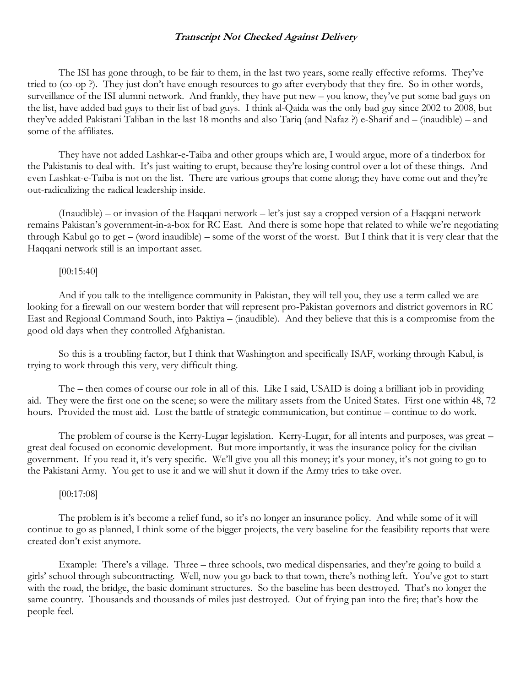The ISI has gone through, to be fair to them, in the last two years, some really effective reforms. They've tried to (co-op ?). They just don't have enough resources to go after everybody that they fire. So in other words, surveillance of the ISI alumni network. And frankly, they have put new – you know, they've put some bad guys on the list, have added bad guys to their list of bad guys. I think al-Qaida was the only bad guy since 2002 to 2008, but they've added Pakistani Taliban in the last 18 months and also Tariq (and Nafaz ?) e-Sharif and – (inaudible) – and some of the affiliates.

They have not added Lashkar-e-Taiba and other groups which are, I would argue, more of a tinderbox for the Pakistanis to deal with. It's just waiting to erupt, because they're losing control over a lot of these things. And even Lashkat-e-Taiba is not on the list. There are various groups that come along; they have come out and they're out-radicalizing the radical leadership inside.

(Inaudible) – or invasion of the Haqqani network – let's just say a cropped version of a Haqqani network remains Pakistan's government-in-a-box for RC East. And there is some hope that related to while we're negotiating through Kabul go to get – (word inaudible) – some of the worst of the worst. But I think that it is very clear that the Haqqani network still is an important asset.

#### [00:15:40]

And if you talk to the intelligence community in Pakistan, they will tell you, they use a term called we are looking for a firewall on our western border that will represent pro-Pakistan governors and district governors in RC East and Regional Command South, into Paktiya – (inaudible). And they believe that this is a compromise from the good old days when they controlled Afghanistan.

So this is a troubling factor, but I think that Washington and specifically ISAF, working through Kabul, is trying to work through this very, very difficult thing.

The – then comes of course our role in all of this. Like I said, USAID is doing a brilliant job in providing aid. They were the first one on the scene; so were the military assets from the United States. First one within 48, 72 hours. Provided the most aid. Lost the battle of strategic communication, but continue – continue to do work.

The problem of course is the Kerry-Lugar legislation. Kerry-Lugar, for all intents and purposes, was great – great deal focused on economic development. But more importantly, it was the insurance policy for the civilian government. If you read it, it's very specific. We'll give you all this money; it's your money, it's not going to go to the Pakistani Army. You get to use it and we will shut it down if the Army tries to take over.

# [00:17:08]

The problem is it's become a relief fund, so it's no longer an insurance policy. And while some of it will continue to go as planned, I think some of the bigger projects, the very baseline for the feasibility reports that were created don't exist anymore.

Example: There's a village. Three – three schools, two medical dispensaries, and they're going to build a girls' school through subcontracting. Well, now you go back to that town, there's nothing left. You've got to start with the road, the bridge, the basic dominant structures. So the baseline has been destroyed. That's no longer the same country. Thousands and thousands of miles just destroyed. Out of frying pan into the fire; that's how the people feel.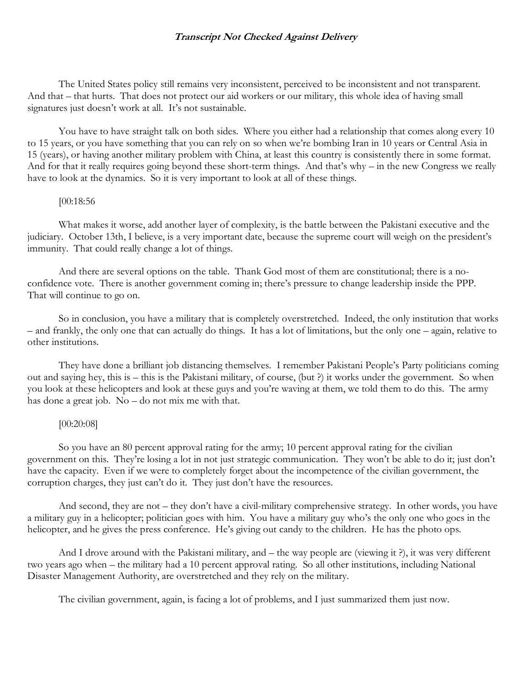The United States policy still remains very inconsistent, perceived to be inconsistent and not transparent. And that – that hurts. That does not protect our aid workers or our military, this whole idea of having small signatures just doesn't work at all. It's not sustainable.

You have to have straight talk on both sides. Where you either had a relationship that comes along every 10 to 15 years, or you have something that you can rely on so when we're bombing Iran in 10 years or Central Asia in 15 (years), or having another military problem with China, at least this country is consistently there in some format. And for that it really requires going beyond these short-term things. And that's why – in the new Congress we really have to look at the dynamics. So it is very important to look at all of these things.

#### [00:18:56

What makes it worse, add another layer of complexity, is the battle between the Pakistani executive and the judiciary. October 13th, I believe, is a very important date, because the supreme court will weigh on the president's immunity. That could really change a lot of things.

And there are several options on the table. Thank God most of them are constitutional; there is a noconfidence vote. There is another government coming in; there's pressure to change leadership inside the PPP. That will continue to go on.

So in conclusion, you have a military that is completely overstretched. Indeed, the only institution that works – and frankly, the only one that can actually do things. It has a lot of limitations, but the only one – again, relative to other institutions.

They have done a brilliant job distancing themselves. I remember Pakistani People's Party politicians coming out and saying hey, this is – this is the Pakistani military, of course, (but ?) it works under the government. So when you look at these helicopters and look at these guys and you're waving at them, we told them to do this. The army has done a great job. No – do not mix me with that.

# [00:20:08]

So you have an 80 percent approval rating for the army; 10 percent approval rating for the civilian government on this. They're losing a lot in not just strategic communication. They won't be able to do it; just don't have the capacity. Even if we were to completely forget about the incompetence of the civilian government, the corruption charges, they just can't do it. They just don't have the resources.

And second, they are not – they don't have a civil-military comprehensive strategy. In other words, you have a military guy in a helicopter; politician goes with him. You have a military guy who's the only one who goes in the helicopter, and he gives the press conference. He's giving out candy to the children. He has the photo ops.

And I drove around with the Pakistani military, and – the way people are (viewing it ?), it was very different two years ago when – the military had a 10 percent approval rating. So all other institutions, including National Disaster Management Authority, are overstretched and they rely on the military.

The civilian government, again, is facing a lot of problems, and I just summarized them just now.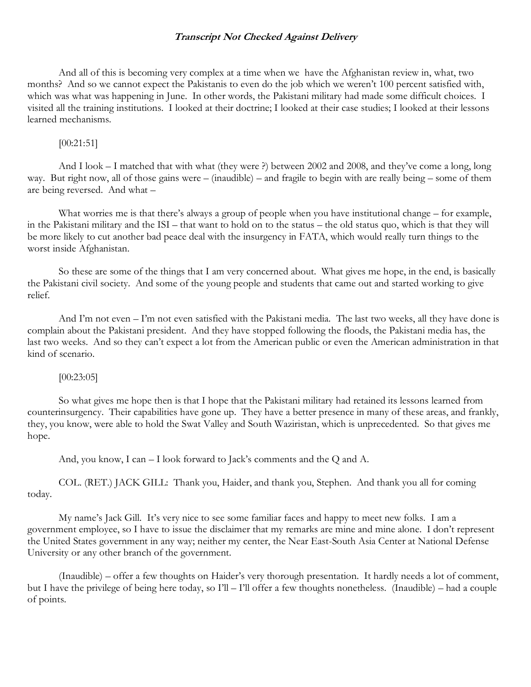And all of this is becoming very complex at a time when we have the Afghanistan review in, what, two months? And so we cannot expect the Pakistanis to even do the job which we weren't 100 percent satisfied with, which was what was happening in June. In other words, the Pakistani military had made some difficult choices. I visited all the training institutions. I looked at their doctrine; I looked at their case studies; I looked at their lessons learned mechanisms.

[00:21:51]

And I look – I matched that with what (they were ?) between 2002 and 2008, and they've come a long, long way. But right now, all of those gains were – (inaudible) – and fragile to begin with are really being – some of them are being reversed. And what –

What worries me is that there's always a group of people when you have institutional change – for example, in the Pakistani military and the ISI – that want to hold on to the status – the old status quo, which is that they will be more likely to cut another bad peace deal with the insurgency in FATA, which would really turn things to the worst inside Afghanistan.

So these are some of the things that I am very concerned about. What gives me hope, in the end, is basically the Pakistani civil society. And some of the young people and students that came out and started working to give relief.

And I'm not even – I'm not even satisfied with the Pakistani media. The last two weeks, all they have done is complain about the Pakistani president. And they have stopped following the floods, the Pakistani media has, the last two weeks. And so they can't expect a lot from the American public or even the American administration in that kind of scenario.

#### [00:23:05]

So what gives me hope then is that I hope that the Pakistani military had retained its lessons learned from counterinsurgency. Their capabilities have gone up. They have a better presence in many of these areas, and frankly, they, you know, were able to hold the Swat Valley and South Waziristan, which is unprecedented. So that gives me hope.

And, you know, I can – I look forward to Jack's comments and the Q and A.

COL. (RET.) JACK GILL: Thank you, Haider, and thank you, Stephen. And thank you all for coming today.

My name's Jack Gill. It's very nice to see some familiar faces and happy to meet new folks. I am a government employee, so I have to issue the disclaimer that my remarks are mine and mine alone. I don't represent the United States government in any way; neither my center, the Near East-South Asia Center at National Defense University or any other branch of the government.

(Inaudible) – offer a few thoughts on Haider's very thorough presentation. It hardly needs a lot of comment, but I have the privilege of being here today, so I'll – I'll offer a few thoughts nonetheless. (Inaudible) – had a couple of points.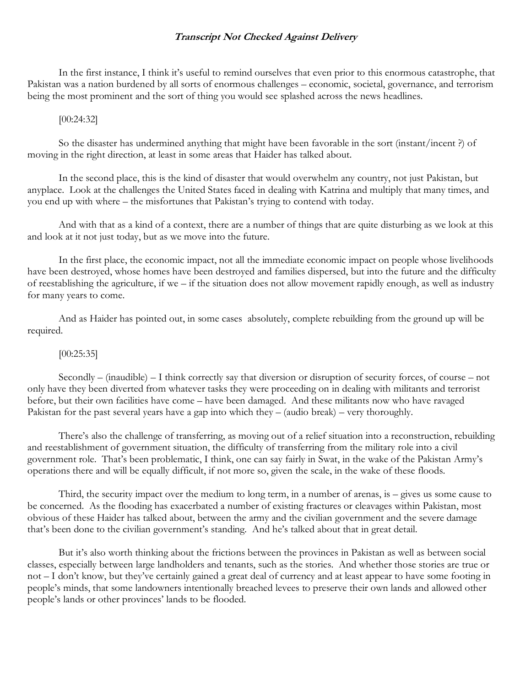In the first instance, I think it's useful to remind ourselves that even prior to this enormous catastrophe, that Pakistan was a nation burdened by all sorts of enormous challenges – economic, societal, governance, and terrorism being the most prominent and the sort of thing you would see splashed across the news headlines.

#### [00:24:32]

So the disaster has undermined anything that might have been favorable in the sort (instant/incent ?) of moving in the right direction, at least in some areas that Haider has talked about.

In the second place, this is the kind of disaster that would overwhelm any country, not just Pakistan, but anyplace. Look at the challenges the United States faced in dealing with Katrina and multiply that many times, and you end up with where – the misfortunes that Pakistan's trying to contend with today.

And with that as a kind of a context, there are a number of things that are quite disturbing as we look at this and look at it not just today, but as we move into the future.

In the first place, the economic impact, not all the immediate economic impact on people whose livelihoods have been destroyed, whose homes have been destroyed and families dispersed, but into the future and the difficulty of reestablishing the agriculture, if we – if the situation does not allow movement rapidly enough, as well as industry for many years to come.

And as Haider has pointed out, in some cases absolutely, complete rebuilding from the ground up will be required.

# [00:25:35]

Secondly – (inaudible) – I think correctly say that diversion or disruption of security forces, of course – not only have they been diverted from whatever tasks they were proceeding on in dealing with militants and terrorist before, but their own facilities have come – have been damaged. And these militants now who have ravaged Pakistan for the past several years have a gap into which they – (audio break) – very thoroughly.

There's also the challenge of transferring, as moving out of a relief situation into a reconstruction, rebuilding and reestablishment of government situation, the difficulty of transferring from the military role into a civil government role. That's been problematic, I think, one can say fairly in Swat, in the wake of the Pakistan Army's operations there and will be equally difficult, if not more so, given the scale, in the wake of these floods.

Third, the security impact over the medium to long term, in a number of arenas, is – gives us some cause to be concerned. As the flooding has exacerbated a number of existing fractures or cleavages within Pakistan, most obvious of these Haider has talked about, between the army and the civilian government and the severe damage that's been done to the civilian government's standing. And he's talked about that in great detail.

But it's also worth thinking about the frictions between the provinces in Pakistan as well as between social classes, especially between large landholders and tenants, such as the stories. And whether those stories are true or not – I don't know, but they've certainly gained a great deal of currency and at least appear to have some footing in people's minds, that some landowners intentionally breached levees to preserve their own lands and allowed other people's lands or other provinces' lands to be flooded.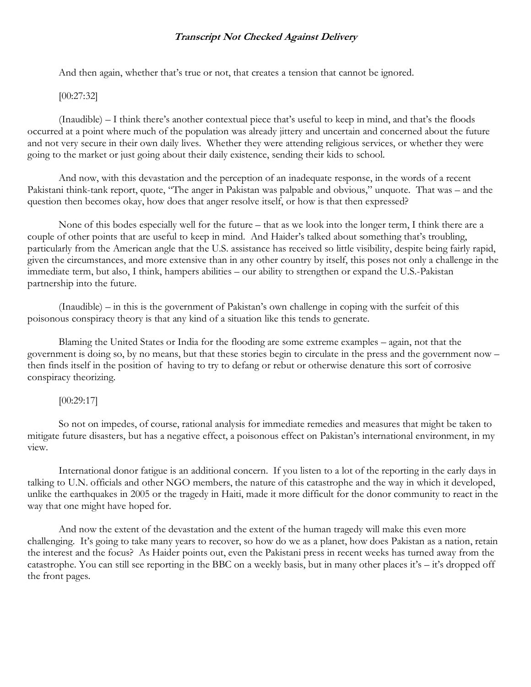And then again, whether that's true or not, that creates a tension that cannot be ignored.

#### [00:27:32]

(Inaudible) – I think there's another contextual piece that's useful to keep in mind, and that's the floods occurred at a point where much of the population was already jittery and uncertain and concerned about the future and not very secure in their own daily lives. Whether they were attending religious services, or whether they were going to the market or just going about their daily existence, sending their kids to school.

And now, with this devastation and the perception of an inadequate response, in the words of a recent Pakistani think-tank report, quote, "The anger in Pakistan was palpable and obvious," unquote. That was – and the question then becomes okay, how does that anger resolve itself, or how is that then expressed?

None of this bodes especially well for the future – that as we look into the longer term, I think there are a couple of other points that are useful to keep in mind. And Haider's talked about something that's troubling, particularly from the American angle that the U.S. assistance has received so little visibility, despite being fairly rapid, given the circumstances, and more extensive than in any other country by itself, this poses not only a challenge in the immediate term, but also, I think, hampers abilities – our ability to strengthen or expand the U.S.-Pakistan partnership into the future.

(Inaudible) – in this is the government of Pakistan's own challenge in coping with the surfeit of this poisonous conspiracy theory is that any kind of a situation like this tends to generate.

Blaming the United States or India for the flooding are some extreme examples – again, not that the government is doing so, by no means, but that these stories begin to circulate in the press and the government now – then finds itself in the position of having to try to defang or rebut or otherwise denature this sort of corrosive conspiracy theorizing.

#### [00:29:17]

So not on impedes, of course, rational analysis for immediate remedies and measures that might be taken to mitigate future disasters, but has a negative effect, a poisonous effect on Pakistan's international environment, in my view.

International donor fatigue is an additional concern. If you listen to a lot of the reporting in the early days in talking to U.N. officials and other NGO members, the nature of this catastrophe and the way in which it developed, unlike the earthquakes in 2005 or the tragedy in Haiti, made it more difficult for the donor community to react in the way that one might have hoped for.

And now the extent of the devastation and the extent of the human tragedy will make this even more challenging. It's going to take many years to recover, so how do we as a planet, how does Pakistan as a nation, retain the interest and the focus? As Haider points out, even the Pakistani press in recent weeks has turned away from the catastrophe. You can still see reporting in the BBC on a weekly basis, but in many other places it's – it's dropped off the front pages.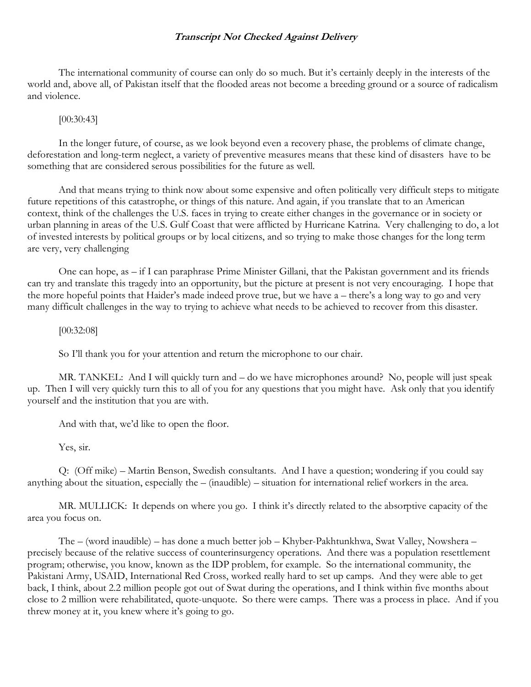The international community of course can only do so much. But it's certainly deeply in the interests of the world and, above all, of Pakistan itself that the flooded areas not become a breeding ground or a source of radicalism and violence.

#### [00:30:43]

In the longer future, of course, as we look beyond even a recovery phase, the problems of climate change, deforestation and long-term neglect, a variety of preventive measures means that these kind of disasters have to be something that are considered serous possibilities for the future as well.

And that means trying to think now about some expensive and often politically very difficult steps to mitigate future repetitions of this catastrophe, or things of this nature. And again, if you translate that to an American context, think of the challenges the U.S. faces in trying to create either changes in the governance or in society or urban planning in areas of the U.S. Gulf Coast that were afflicted by Hurricane Katrina. Very challenging to do, a lot of invested interests by political groups or by local citizens, and so trying to make those changes for the long term are very, very challenging

One can hope, as – if I can paraphrase Prime Minister Gillani, that the Pakistan government and its friends can try and translate this tragedy into an opportunity, but the picture at present is not very encouraging. I hope that the more hopeful points that Haider's made indeed prove true, but we have a – there's a long way to go and very many difficult challenges in the way to trying to achieve what needs to be achieved to recover from this disaster.

#### [00:32:08]

So I'll thank you for your attention and return the microphone to our chair.

MR. TANKEL: And I will quickly turn and – do we have microphones around? No, people will just speak up. Then I will very quickly turn this to all of you for any questions that you might have. Ask only that you identify yourself and the institution that you are with.

And with that, we'd like to open the floor.

Yes, sir.

Q: (Off mike) – Martin Benson, Swedish consultants. And I have a question; wondering if you could say anything about the situation, especially the – (inaudible) – situation for international relief workers in the area.

MR. MULLICK: It depends on where you go. I think it's directly related to the absorptive capacity of the area you focus on.

The – (word inaudible) – has done a much better job – Khyber-Pakhtunkhwa, Swat Valley, Nowshera – precisely because of the relative success of counterinsurgency operations. And there was a population resettlement program; otherwise, you know, known as the IDP problem, for example. So the international community, the Pakistani Army, USAID, International Red Cross, worked really hard to set up camps. And they were able to get back, I think, about 2.2 million people got out of Swat during the operations, and I think within five months about close to 2 million were rehabilitated, quote-unquote. So there were camps. There was a process in place. And if you threw money at it, you knew where it's going to go.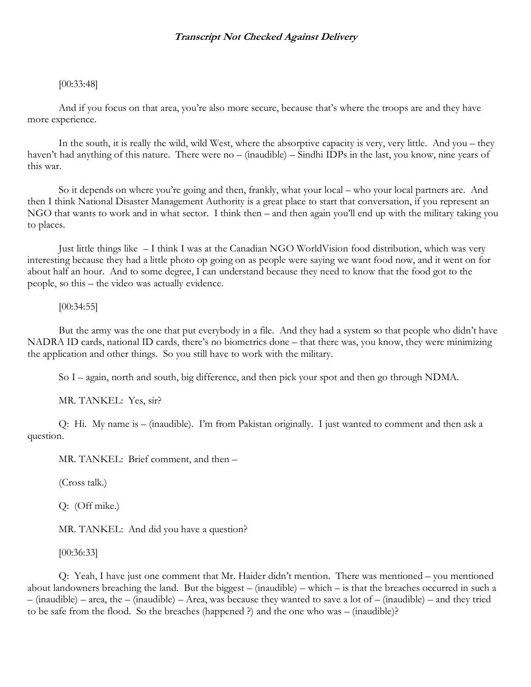# [00:33:48]

And if you focus on that area, you're also more secure, because that's where the troops are and they have more experience.

In the south, it is really the wild, wild West, where the absorptive capacity is very, very little. And you – they haven't had anything of this nature. There were no – (inaudible) – Sindhi IDPs in the last, you know, nine years of this war.

So it depends on where you're going and then, frankly, what your local – who your local partners are. And then I think National Disaster Management Authority is a great place to start that conversation, if you represent an NGO that wants to work and in what sector. I think then – and then again you'll end up with the military taking you to places.

Just little things like – I think I was at the Canadian NGO WorldVision food distribution, which was very interesting because they had a little photo op going on as people were saying we want food now, and it went on for about half an hour. And to some degree, I can understand because they need to know that the food got to the people, so this – the video was actually evidence.

#### [00:34:55]

But the army was the one that put everybody in a file. And they had a system so that people who didn't have NADRA ID cards, national ID cards, there's no biometrics done – that there was, you know, they were minimizing the application and other things. So you still have to work with the military.

So I – again, north and south, big difference, and then pick your spot and then go through NDMA.

MR. TANKEL: Yes, sir?

Q: Hi. My name is – (inaudible). I'm from Pakistan originally. I just wanted to comment and then ask a question.

MR. TANKEL: Brief comment, and then –

(Cross talk.)

Q: (Off mike.)

MR. TANKEL: And did you have a question?

[00:36:33]

Q: Yeah, I have just one comment that Mr. Haider didn't mention. There was mentioned – you mentioned about landowners breaching the land. But the biggest – (inaudible) – which – is that the breaches occurred in such a – (inaudible) – area, the – (inaudible) – Area, was because they wanted to save a lot of – (inaudible) – and they tried to be safe from the flood. So the breaches (happened ?) and the one who was – (inaudible)?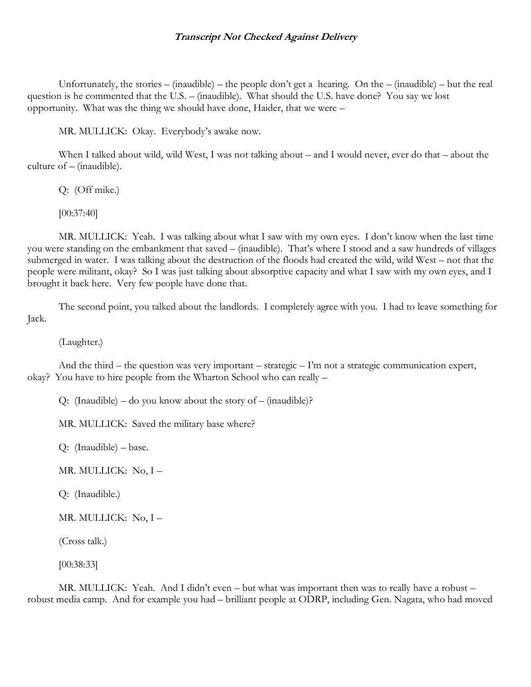Unfortunately, the stories – (inaudible) – the people don't get a hearing. On the – (inaudible) – but the real question is he commented that the U.S. – (inaudible). What should the U.S. have done? You say we lost opportunity. What was the thing we should have done, Haider, that we were –

MR. MULLICK: Okay. Everybody's awake now.

When I talked about wild, wild West, I was not talking about – and I would never, ever do that – about the culture of – (inaudible).

Q: (Off mike.)

[00:37:40]

MR. MULLICK: Yeah. I was talking about what I saw with my own eyes. I don't know when the last time you were standing on the embankment that saved – (inaudible). That's where I stood and a saw hundreds of villages submerged in water. I was talking about the destruction of the floods had created the wild, wild West – not that the people were militant, okay? So I was just talking about absorptive capacity and what I saw with my own eyes, and I brought it back here. Very few people have done that.

The second point, you talked about the landlords. I completely agree with you. I had to leave something for Jack.

(Laughter.)

And the third – the question was very important – strategic – I'm not a strategic communication expert, okay? You have to hire people from the Wharton School who can really –

Q: (Inaudible) – do you know about the story of – (inaudible)?

MR. MULLICK: Saved the military base where?

Q: (Inaudible) – base.

MR. MULLICK: No, I –

Q: (Inaudible.)

MR. MULLICK: No, I –

(Cross talk.)

[00:38:33]

MR. MULLICK: Yeah. And I didn't even – but what was important then was to really have a robust – robust media camp. And for example you had – brilliant people at ODRP, including Gen. Nagata, who had moved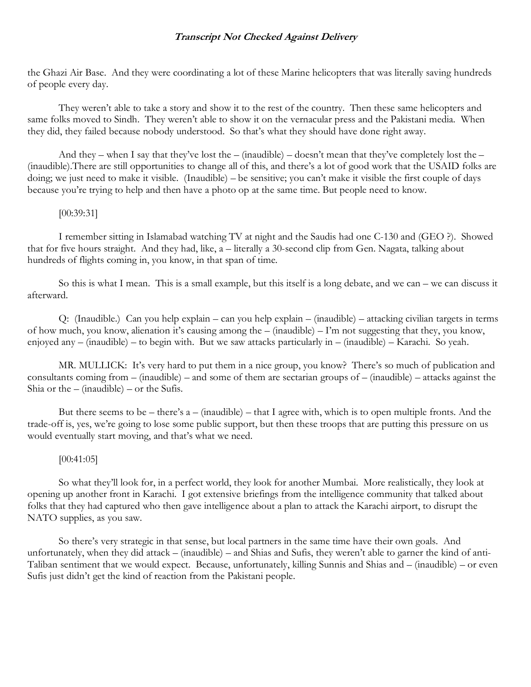the Ghazi Air Base. And they were coordinating a lot of these Marine helicopters that was literally saving hundreds of people every day.

They weren't able to take a story and show it to the rest of the country. Then these same helicopters and same folks moved to Sindh. They weren't able to show it on the vernacular press and the Pakistani media. When they did, they failed because nobody understood. So that's what they should have done right away.

And they – when I say that they've lost the – (inaudible) – doesn't mean that they've completely lost the – (inaudible).There are still opportunities to change all of this, and there's a lot of good work that the USAID folks are doing; we just need to make it visible. (Inaudible) – be sensitive; you can't make it visible the first couple of days because you're trying to help and then have a photo op at the same time. But people need to know.

#### [00:39:31]

I remember sitting in Islamabad watching TV at night and the Saudis had one C-130 and (GEO ?). Showed that for five hours straight. And they had, like, a – literally a 30-second clip from Gen. Nagata, talking about hundreds of flights coming in, you know, in that span of time.

So this is what I mean. This is a small example, but this itself is a long debate, and we can – we can discuss it afterward.

Q: (Inaudible.) Can you help explain – can you help explain – (inaudible) – attacking civilian targets in terms of how much, you know, alienation it's causing among the – (inaudible) – I'm not suggesting that they, you know, enjoyed any – (inaudible) – to begin with. But we saw attacks particularly in – (inaudible) – Karachi. So yeah.

MR. MULLICK: It's very hard to put them in a nice group, you know? There's so much of publication and consultants coming from – (inaudible) – and some of them are sectarian groups of – (inaudible) – attacks against the Shia or the  $-$  (inaudible)  $-$  or the Sufis.

But there seems to be – there's  $a - (inaudible)$  – that I agree with, which is to open multiple fronts. And the trade-off is, yes, we're going to lose some public support, but then these troops that are putting this pressure on us would eventually start moving, and that's what we need.

# [00:41:05]

So what they'll look for, in a perfect world, they look for another Mumbai. More realistically, they look at opening up another front in Karachi. I got extensive briefings from the intelligence community that talked about folks that they had captured who then gave intelligence about a plan to attack the Karachi airport, to disrupt the NATO supplies, as you saw.

So there's very strategic in that sense, but local partners in the same time have their own goals. And unfortunately, when they did attack – (inaudible) – and Shias and Sufis, they weren't able to garner the kind of anti-Taliban sentiment that we would expect. Because, unfortunately, killing Sunnis and Shias and – (inaudible) – or even Sufis just didn't get the kind of reaction from the Pakistani people.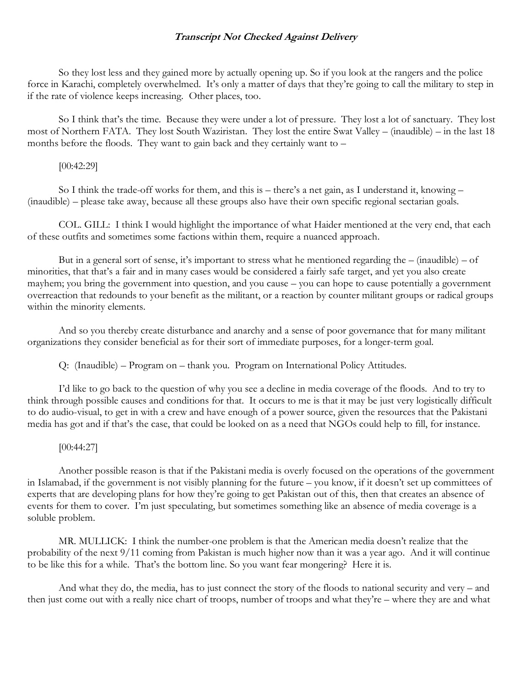So they lost less and they gained more by actually opening up. So if you look at the rangers and the police force in Karachi, completely overwhelmed. It's only a matter of days that they're going to call the military to step in if the rate of violence keeps increasing. Other places, too.

So I think that's the time. Because they were under a lot of pressure. They lost a lot of sanctuary. They lost most of Northern FATA. They lost South Waziristan. They lost the entire Swat Valley – (inaudible) – in the last 18 months before the floods. They want to gain back and they certainly want to –

#### [00:42:29]

So I think the trade-off works for them, and this is – there's a net gain, as I understand it, knowing – (inaudible) – please take away, because all these groups also have their own specific regional sectarian goals.

COL. GILL: I think I would highlight the importance of what Haider mentioned at the very end, that each of these outfits and sometimes some factions within them, require a nuanced approach.

But in a general sort of sense, it's important to stress what he mentioned regarding the  $-$  (inaudible)  $-$  of minorities, that that's a fair and in many cases would be considered a fairly safe target, and yet you also create mayhem; you bring the government into question, and you cause – you can hope to cause potentially a government overreaction that redounds to your benefit as the militant, or a reaction by counter militant groups or radical groups within the minority elements.

And so you thereby create disturbance and anarchy and a sense of poor governance that for many militant organizations they consider beneficial as for their sort of immediate purposes, for a longer-term goal.

Q: (Inaudible) – Program on – thank you. Program on International Policy Attitudes.

I'd like to go back to the question of why you see a decline in media coverage of the floods. And to try to think through possible causes and conditions for that. It occurs to me is that it may be just very logistically difficult to do audio-visual, to get in with a crew and have enough of a power source, given the resources that the Pakistani media has got and if that's the case, that could be looked on as a need that NGOs could help to fill, for instance.

#### [00:44:27]

Another possible reason is that if the Pakistani media is overly focused on the operations of the government in Islamabad, if the government is not visibly planning for the future – you know, if it doesn't set up committees of experts that are developing plans for how they're going to get Pakistan out of this, then that creates an absence of events for them to cover. I'm just speculating, but sometimes something like an absence of media coverage is a soluble problem.

MR. MULLICK: I think the number-one problem is that the American media doesn't realize that the probability of the next 9/11 coming from Pakistan is much higher now than it was a year ago. And it will continue to be like this for a while. That's the bottom line. So you want fear mongering? Here it is.

And what they do, the media, has to just connect the story of the floods to national security and very – and then just come out with a really nice chart of troops, number of troops and what they're – where they are and what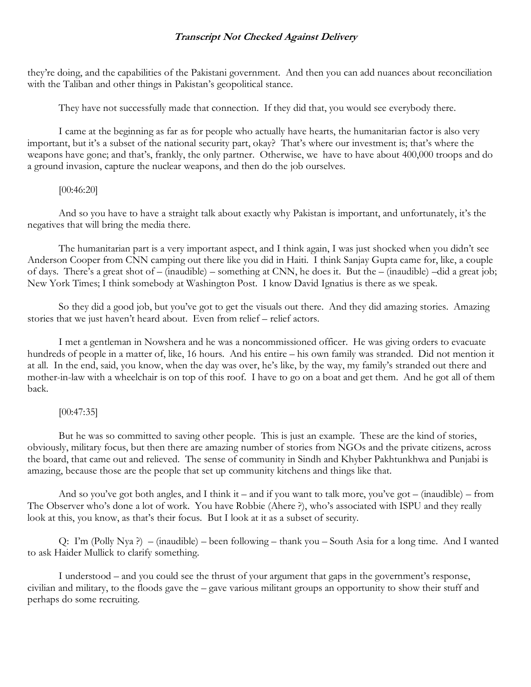they're doing, and the capabilities of the Pakistani government. And then you can add nuances about reconciliation with the Taliban and other things in Pakistan's geopolitical stance.

They have not successfully made that connection. If they did that, you would see everybody there.

I came at the beginning as far as for people who actually have hearts, the humanitarian factor is also very important, but it's a subset of the national security part, okay? That's where our investment is; that's where the weapons have gone; and that's, frankly, the only partner. Otherwise, we have to have about 400,000 troops and do a ground invasion, capture the nuclear weapons, and then do the job ourselves.

#### [00:46:20]

And so you have to have a straight talk about exactly why Pakistan is important, and unfortunately, it's the negatives that will bring the media there.

The humanitarian part is a very important aspect, and I think again, I was just shocked when you didn't see Anderson Cooper from CNN camping out there like you did in Haiti. I think Sanjay Gupta came for, like, a couple of days. There's a great shot of – (inaudible) – something at CNN, he does it. But the – (inaudible) –did a great job; New York Times; I think somebody at Washington Post. I know David Ignatius is there as we speak.

So they did a good job, but you've got to get the visuals out there. And they did amazing stories. Amazing stories that we just haven't heard about. Even from relief – relief actors.

I met a gentleman in Nowshera and he was a noncommissioned officer. He was giving orders to evacuate hundreds of people in a matter of, like, 16 hours. And his entire – his own family was stranded. Did not mention it at all. In the end, said, you know, when the day was over, he's like, by the way, my family's stranded out there and mother-in-law with a wheelchair is on top of this roof. I have to go on a boat and get them. And he got all of them back.

# [00:47:35]

But he was so committed to saving other people. This is just an example. These are the kind of stories, obviously, military focus, but then there are amazing number of stories from NGOs and the private citizens, across the board, that came out and relieved. The sense of community in Sindh and Khyber Pakhtunkhwa and Punjabi is amazing, because those are the people that set up community kitchens and things like that.

And so you've got both angles, and I think it – and if you want to talk more, you've got – (inaudible) – from The Observer who's done a lot of work. You have Robbie (Ahere ?), who's associated with ISPU and they really look at this, you know, as that's their focus. But I look at it as a subset of security.

Q: I'm (Polly Nya ?) – (inaudible) – been following – thank you – South Asia for a long time. And I wanted to ask Haider Mullick to clarify something.

I understood – and you could see the thrust of your argument that gaps in the government's response, civilian and military, to the floods gave the – gave various militant groups an opportunity to show their stuff and perhaps do some recruiting.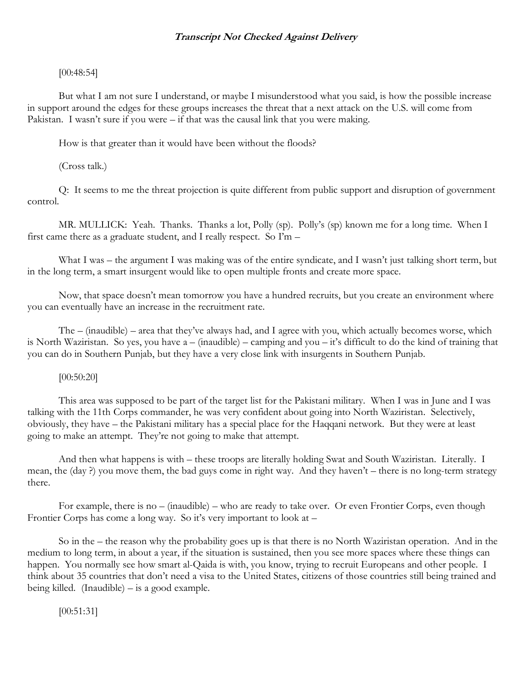# [00:48:54]

But what I am not sure I understand, or maybe I misunderstood what you said, is how the possible increase in support around the edges for these groups increases the threat that a next attack on the U.S. will come from Pakistan. I wasn't sure if you were – if that was the causal link that you were making.

How is that greater than it would have been without the floods?

(Cross talk.)

Q: It seems to me the threat projection is quite different from public support and disruption of government control.

MR. MULLICK: Yeah. Thanks. Thanks a lot, Polly (sp). Polly's (sp) known me for a long time. When I first came there as a graduate student, and I really respect. So I'm –

What I was – the argument I was making was of the entire syndicate, and I wasn't just talking short term, but in the long term, a smart insurgent would like to open multiple fronts and create more space.

Now, that space doesn't mean tomorrow you have a hundred recruits, but you create an environment where you can eventually have an increase in the recruitment rate.

The – (inaudible) – area that they've always had, and I agree with you, which actually becomes worse, which is North Waziristan. So yes, you have a – (inaudible) – camping and you – it's difficult to do the kind of training that you can do in Southern Punjab, but they have a very close link with insurgents in Southern Punjab.

# [00:50:20]

This area was supposed to be part of the target list for the Pakistani military. When I was in June and I was talking with the 11th Corps commander, he was very confident about going into North Waziristan. Selectively, obviously, they have – the Pakistani military has a special place for the Haqqani network. But they were at least going to make an attempt. They're not going to make that attempt.

And then what happens is with – these troops are literally holding Swat and South Waziristan. Literally. I mean, the (day ?) you move them, the bad guys come in right way. And they haven't – there is no long-term strategy there.

For example, there is no – (inaudible) – who are ready to take over. Or even Frontier Corps, even though Frontier Corps has come a long way. So it's very important to look at –

So in the – the reason why the probability goes up is that there is no North Waziristan operation. And in the medium to long term, in about a year, if the situation is sustained, then you see more spaces where these things can happen. You normally see how smart al-Qaida is with, you know, trying to recruit Europeans and other people. I think about 35 countries that don't need a visa to the United States, citizens of those countries still being trained and being killed. (Inaudible) – is a good example.

[00:51:31]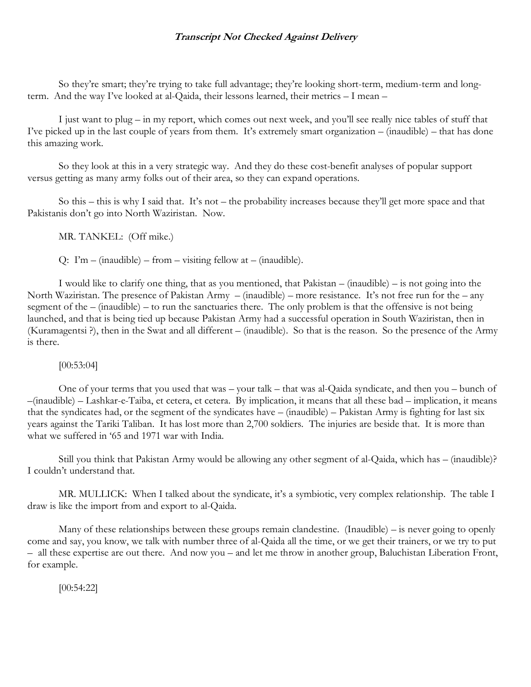So they're smart; they're trying to take full advantage; they're looking short-term, medium-term and longterm. And the way I've looked at al-Qaida, their lessons learned, their metrics – I mean –

I just want to plug – in my report, which comes out next week, and you'll see really nice tables of stuff that I've picked up in the last couple of years from them. It's extremely smart organization – (inaudible) – that has done this amazing work.

So they look at this in a very strategic way. And they do these cost-benefit analyses of popular support versus getting as many army folks out of their area, so they can expand operations.

So this – this is why I said that. It's not – the probability increases because they'll get more space and that Pakistanis don't go into North Waziristan. Now.

MR. TANKEL: (Off mike.)

Q:  $\Gamma m - \text{(inaudible)} - \text{from} - \text{visiting fellow at} - \text{(inaudible)}.$ 

I would like to clarify one thing, that as you mentioned, that Pakistan – (inaudible) – is not going into the North Waziristan. The presence of Pakistan Army – (inaudible) – more resistance. It's not free run for the – any segment of the – (inaudible) – to run the sanctuaries there. The only problem is that the offensive is not being launched, and that is being tied up because Pakistan Army had a successful operation in South Waziristan, then in (Kuramagentsi ?), then in the Swat and all different – (inaudible). So that is the reason. So the presence of the Army is there.

# [00:53:04]

One of your terms that you used that was – your talk – that was al-Qaida syndicate, and then you – bunch of –(inaudible) – Lashkar-e-Taiba, et cetera, et cetera. By implication, it means that all these bad – implication, it means that the syndicates had, or the segment of the syndicates have – (inaudible) – Pakistan Army is fighting for last six years against the Tariki Taliban. It has lost more than 2,700 soldiers. The injuries are beside that. It is more than what we suffered in '65 and 1971 war with India.

Still you think that Pakistan Army would be allowing any other segment of al-Qaida, which has – (inaudible)? I couldn't understand that.

MR. MULLICK: When I talked about the syndicate, it's a symbiotic, very complex relationship. The table I draw is like the import from and export to al-Qaida.

Many of these relationships between these groups remain clandestine. (Inaudible) – is never going to openly come and say, you know, we talk with number three of al-Qaida all the time, or we get their trainers, or we try to put – all these expertise are out there. And now you – and let me throw in another group, Baluchistan Liberation Front, for example.

[00:54:22]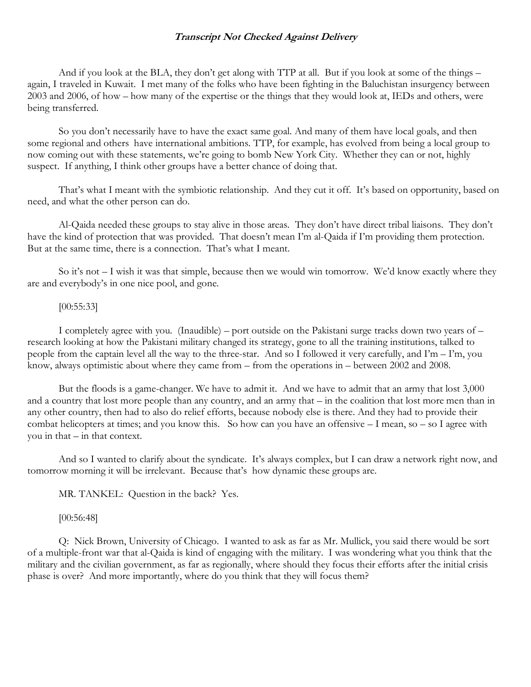And if you look at the BLA, they don't get along with TTP at all. But if you look at some of the things – again, I traveled in Kuwait. I met many of the folks who have been fighting in the Baluchistan insurgency between 2003 and 2006, of how – how many of the expertise or the things that they would look at, IEDs and others, were being transferred.

So you don't necessarily have to have the exact same goal. And many of them have local goals, and then some regional and others have international ambitions. TTP, for example, has evolved from being a local group to now coming out with these statements, we're going to bomb New York City. Whether they can or not, highly suspect. If anything, I think other groups have a better chance of doing that.

That's what I meant with the symbiotic relationship. And they cut it off. It's based on opportunity, based on need, and what the other person can do.

Al-Qaida needed these groups to stay alive in those areas. They don't have direct tribal liaisons. They don't have the kind of protection that was provided. That doesn't mean I'm al-Qaida if I'm providing them protection. But at the same time, there is a connection. That's what I meant.

So it's not – I wish it was that simple, because then we would win tomorrow. We'd know exactly where they are and everybody's in one nice pool, and gone.

#### [00:55:33]

I completely agree with you. (Inaudible) – port outside on the Pakistani surge tracks down two years of – research looking at how the Pakistani military changed its strategy, gone to all the training institutions, talked to people from the captain level all the way to the three-star. And so I followed it very carefully, and I'm – I'm, you know, always optimistic about where they came from – from the operations in – between 2002 and 2008.

But the floods is a game-changer. We have to admit it. And we have to admit that an army that lost 3,000 and a country that lost more people than any country, and an army that – in the coalition that lost more men than in any other country, then had to also do relief efforts, because nobody else is there. And they had to provide their combat helicopters at times; and you know this. So how can you have an offensive – I mean, so – so I agree with you in that – in that context.

And so I wanted to clarify about the syndicate. It's always complex, but I can draw a network right now, and tomorrow morning it will be irrelevant. Because that's how dynamic these groups are.

MR. TANKEL: Question in the back? Yes.

#### [00:56:48]

Q: Nick Brown, University of Chicago. I wanted to ask as far as Mr. Mullick, you said there would be sort of a multiple-front war that al-Qaida is kind of engaging with the military. I was wondering what you think that the military and the civilian government, as far as regionally, where should they focus their efforts after the initial crisis phase is over? And more importantly, where do you think that they will focus them?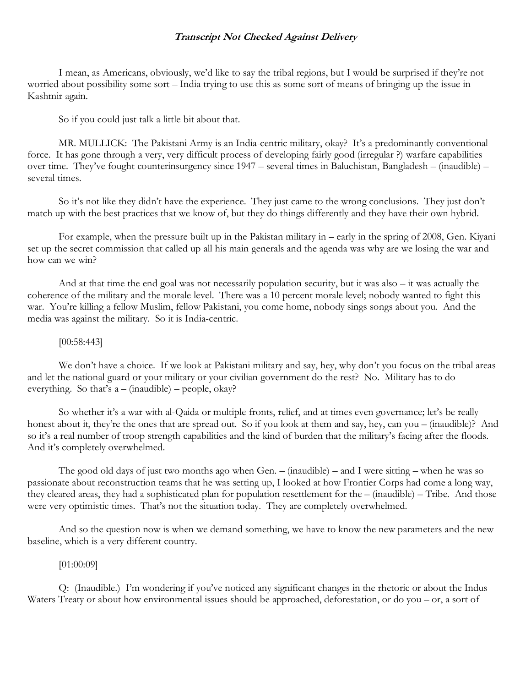I mean, as Americans, obviously, we'd like to say the tribal regions, but I would be surprised if they're not worried about possibility some sort – India trying to use this as some sort of means of bringing up the issue in Kashmir again.

So if you could just talk a little bit about that.

MR. MULLICK: The Pakistani Army is an India-centric military, okay? It's a predominantly conventional force. It has gone through a very, very difficult process of developing fairly good (irregular ?) warfare capabilities over time. They've fought counterinsurgency since 1947 – several times in Baluchistan, Bangladesh – (inaudible) – several times.

So it's not like they didn't have the experience. They just came to the wrong conclusions. They just don't match up with the best practices that we know of, but they do things differently and they have their own hybrid.

For example, when the pressure built up in the Pakistan military in – early in the spring of 2008, Gen. Kiyani set up the secret commission that called up all his main generals and the agenda was why are we losing the war and how can we win?

And at that time the end goal was not necessarily population security, but it was also – it was actually the coherence of the military and the morale level. There was a 10 percent morale level; nobody wanted to fight this war. You're killing a fellow Muslim, fellow Pakistani, you come home, nobody sings songs about you. And the media was against the military. So it is India-centric.

#### [00:58:443]

We don't have a choice. If we look at Pakistani military and say, hey, why don't you focus on the tribal areas and let the national guard or your military or your civilian government do the rest? No. Military has to do everything. So that's  $a - (inaudible) - people, okay?$ 

So whether it's a war with al-Qaida or multiple fronts, relief, and at times even governance; let's be really honest about it, they're the ones that are spread out. So if you look at them and say, hey, can you – (inaudible)? And so it's a real number of troop strength capabilities and the kind of burden that the military's facing after the floods. And it's completely overwhelmed.

The good old days of just two months ago when Gen. – (inaudible) – and I were sitting – when he was so passionate about reconstruction teams that he was setting up, I looked at how Frontier Corps had come a long way, they cleared areas, they had a sophisticated plan for population resettlement for the – (inaudible) – Tribe. And those were very optimistic times. That's not the situation today. They are completely overwhelmed.

And so the question now is when we demand something, we have to know the new parameters and the new baseline, which is a very different country.

#### [01:00:09]

Q: (Inaudible.) I'm wondering if you've noticed any significant changes in the rhetoric or about the Indus Waters Treaty or about how environmental issues should be approached, deforestation, or do you – or, a sort of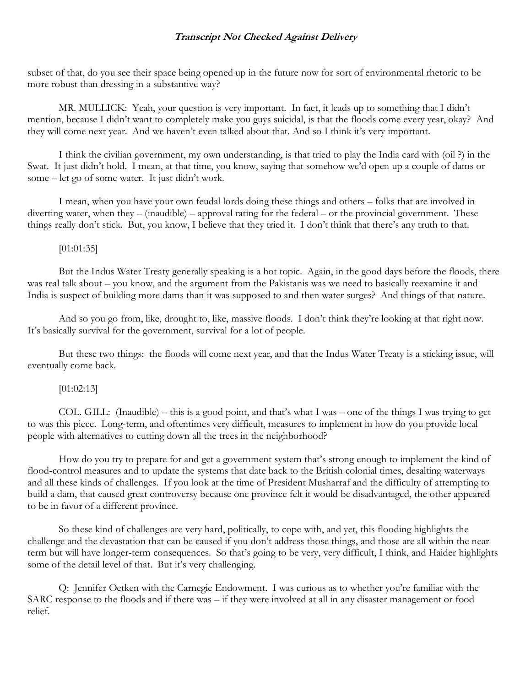subset of that, do you see their space being opened up in the future now for sort of environmental rhetoric to be more robust than dressing in a substantive way?

MR. MULLICK: Yeah, your question is very important. In fact, it leads up to something that I didn't mention, because I didn't want to completely make you guys suicidal, is that the floods come every year, okay? And they will come next year. And we haven't even talked about that. And so I think it's very important.

I think the civilian government, my own understanding, is that tried to play the India card with (oil ?) in the Swat. It just didn't hold. I mean, at that time, you know, saying that somehow we'd open up a couple of dams or some – let go of some water. It just didn't work.

I mean, when you have your own feudal lords doing these things and others – folks that are involved in diverting water, when they – (inaudible) – approval rating for the federal – or the provincial government. These things really don't stick. But, you know, I believe that they tried it. I don't think that there's any truth to that.

# [01:01:35]

But the Indus Water Treaty generally speaking is a hot topic. Again, in the good days before the floods, there was real talk about – you know, and the argument from the Pakistanis was we need to basically reexamine it and India is suspect of building more dams than it was supposed to and then water surges? And things of that nature.

And so you go from, like, drought to, like, massive floods. I don't think they're looking at that right now. It's basically survival for the government, survival for a lot of people.

But these two things: the floods will come next year, and that the Indus Water Treaty is a sticking issue, will eventually come back.

# $[01:02:13]$

COL. GILL: (Inaudible) – this is a good point, and that's what I was – one of the things I was trying to get to was this piece. Long-term, and oftentimes very difficult, measures to implement in how do you provide local people with alternatives to cutting down all the trees in the neighborhood?

How do you try to prepare for and get a government system that's strong enough to implement the kind of flood-control measures and to update the systems that date back to the British colonial times, desalting waterways and all these kinds of challenges. If you look at the time of President Musharraf and the difficulty of attempting to build a dam, that caused great controversy because one province felt it would be disadvantaged, the other appeared to be in favor of a different province.

So these kind of challenges are very hard, politically, to cope with, and yet, this flooding highlights the challenge and the devastation that can be caused if you don't address those things, and those are all within the near term but will have longer-term consequences. So that's going to be very, very difficult, I think, and Haider highlights some of the detail level of that. But it's very challenging.

Q: Jennifer Oetken with the Carnegie Endowment. I was curious as to whether you're familiar with the SARC response to the floods and if there was – if they were involved at all in any disaster management or food relief.